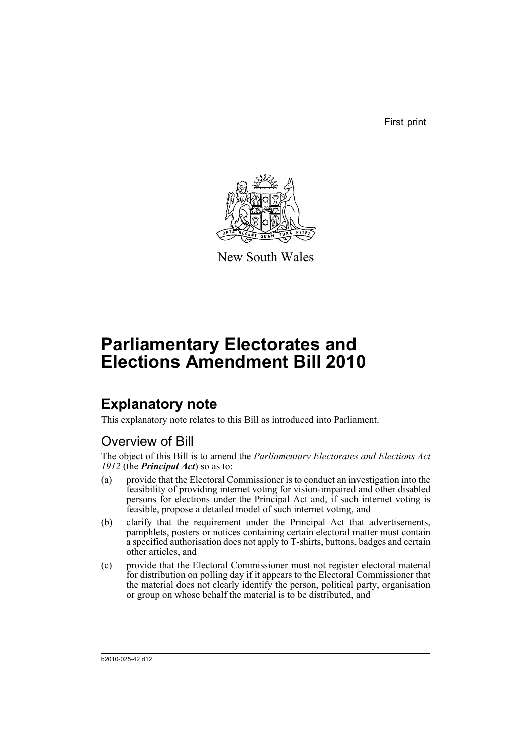First print



New South Wales

# **Parliamentary Electorates and Elections Amendment Bill 2010**

## **Explanatory note**

This explanatory note relates to this Bill as introduced into Parliament.

## Overview of Bill

The object of this Bill is to amend the *Parliamentary Electorates and Elections Act 1912* (the *Principal Act*) so as to:

- (a) provide that the Electoral Commissioner is to conduct an investigation into the feasibility of providing internet voting for vision-impaired and other disabled persons for elections under the Principal Act and, if such internet voting is feasible, propose a detailed model of such internet voting, and
- (b) clarify that the requirement under the Principal Act that advertisements, pamphlets, posters or notices containing certain electoral matter must contain a specified authorisation does not apply to T-shirts, buttons, badges and certain other articles, and
- (c) provide that the Electoral Commissioner must not register electoral material for distribution on polling day if it appears to the Electoral Commissioner that the material does not clearly identify the person, political party, organisation or group on whose behalf the material is to be distributed, and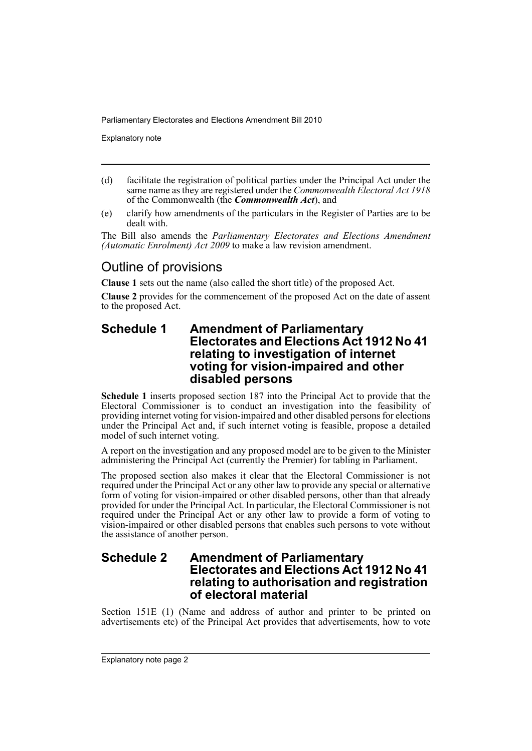Explanatory note

- (d) facilitate the registration of political parties under the Principal Act under the same name as they are registered under the *Commonwealth Electoral Act 1918* of the Commonwealth (the *Commonwealth Act*), and
- (e) clarify how amendments of the particulars in the Register of Parties are to be dealt with.

The Bill also amends the *Parliamentary Electorates and Elections Amendment (Automatic Enrolment) Act 2009* to make a law revision amendment.

## Outline of provisions

**Clause 1** sets out the name (also called the short title) of the proposed Act.

**Clause 2** provides for the commencement of the proposed Act on the date of assent to the proposed Act.

#### **Schedule 1 Amendment of Parliamentary Electorates and Elections Act 1912 No 41 relating to investigation of internet voting for vision-impaired and other disabled persons**

**Schedule 1** inserts proposed section 187 into the Principal Act to provide that the Electoral Commissioner is to conduct an investigation into the feasibility of providing internet voting for vision-impaired and other disabled persons for elections under the Principal Act and, if such internet voting is feasible, propose a detailed model of such internet voting.

A report on the investigation and any proposed model are to be given to the Minister administering the Principal Act (currently the Premier) for tabling in Parliament.

The proposed section also makes it clear that the Electoral Commissioner is not required under the Principal Act or any other law to provide any special or alternative form of voting for vision-impaired or other disabled persons, other than that already provided for under the Principal Act. In particular, the Electoral Commissioner is not required under the Principal Act or any other law to provide a form of voting to vision-impaired or other disabled persons that enables such persons to vote without the assistance of another person.

### **Schedule 2 Amendment of Parliamentary Electorates and Elections Act 1912 No 41 relating to authorisation and registration of electoral material**

Section 151E (1) (Name and address of author and printer to be printed on advertisements etc) of the Principal Act provides that advertisements, how to vote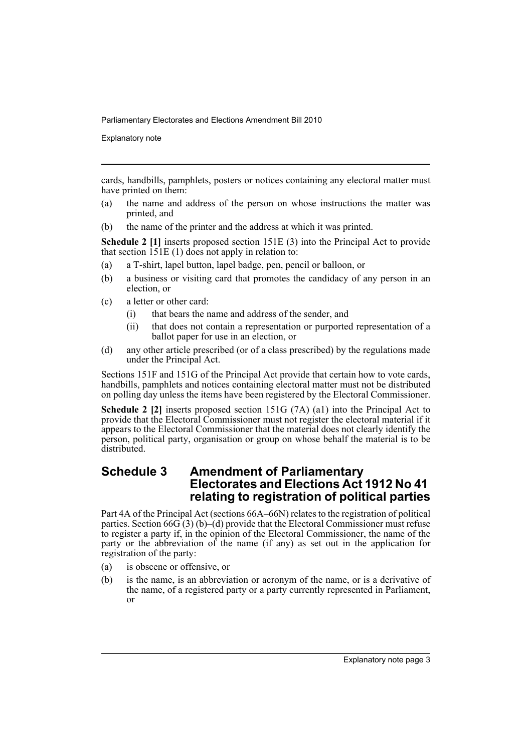Explanatory note

cards, handbills, pamphlets, posters or notices containing any electoral matter must have printed on them:

- (a) the name and address of the person on whose instructions the matter was printed, and
- (b) the name of the printer and the address at which it was printed.

**Schedule 2 [1]** inserts proposed section 151E (3) into the Principal Act to provide that section  $151E(1)$  does not apply in relation to:

- (a) a T-shirt, lapel button, lapel badge, pen, pencil or balloon, or
- (b) a business or visiting card that promotes the candidacy of any person in an election, or
- (c) a letter or other card:
	- (i) that bears the name and address of the sender, and
	- (ii) that does not contain a representation or purported representation of a ballot paper for use in an election, or
- (d) any other article prescribed (or of a class prescribed) by the regulations made under the Principal Act.

Sections 151F and 151G of the Principal Act provide that certain how to vote cards, handbills, pamphlets and notices containing electoral matter must not be distributed on polling day unless the items have been registered by the Electoral Commissioner.

**Schedule 2 [2]** inserts proposed section 151G (7A) (a1) into the Principal Act to provide that the Electoral Commissioner must not register the electoral material if it appears to the Electoral Commissioner that the material does not clearly identify the person, political party, organisation or group on whose behalf the material is to be distributed.

### **Schedule 3 Amendment of Parliamentary Electorates and Elections Act 1912 No 41 relating to registration of political parties**

Part 4A of the Principal Act (sections 66A–66N) relates to the registration of political parties. Section  $66G(3)$  (b)–(d) provide that the Electoral Commissioner must refuse to register a party if, in the opinion of the Electoral Commissioner, the name of the party or the abbreviation of the name (if any) as set out in the application for registration of the party:

- (a) is obscene or offensive, or
- (b) is the name, is an abbreviation or acronym of the name, or is a derivative of the name, of a registered party or a party currently represented in Parliament, or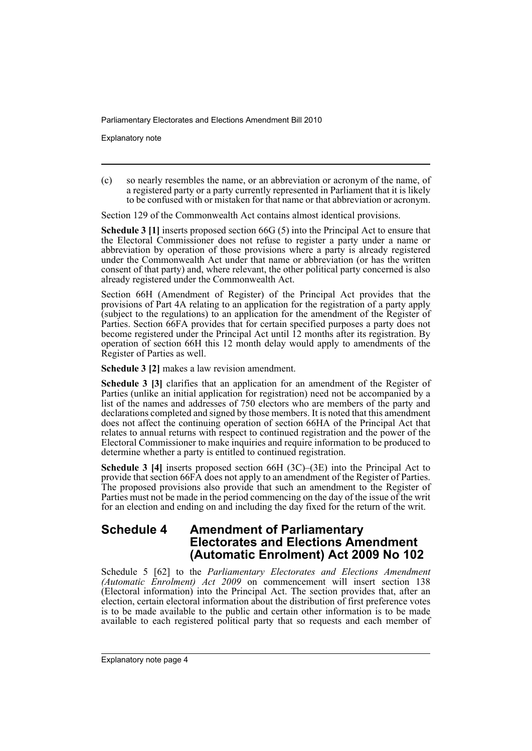Explanatory note

(c) so nearly resembles the name, or an abbreviation or acronym of the name, of a registered party or a party currently represented in Parliament that it is likely to be confused with or mistaken for that name or that abbreviation or acronym.

Section 129 of the Commonwealth Act contains almost identical provisions.

**Schedule 3 [1]** inserts proposed section 66G (5) into the Principal Act to ensure that the Electoral Commissioner does not refuse to register a party under a name or abbreviation by operation of those provisions where a party is already registered under the Commonwealth Act under that name or abbreviation (or has the written consent of that party) and, where relevant, the other political party concerned is also already registered under the Commonwealth Act.

Section 66H (Amendment of Register) of the Principal Act provides that the provisions of Part 4A relating to an application for the registration of a party apply (subject to the regulations) to an application for the amendment of the Register of Parties. Section 66FA provides that for certain specified purposes a party does not become registered under the Principal Act until 12 months after its registration. By operation of section 66H this 12 month delay would apply to amendments of the Register of Parties as well.

**Schedule 3 [2]** makes a law revision amendment.

**Schedule 3 [3]** clarifies that an application for an amendment of the Register of Parties (unlike an initial application for registration) need not be accompanied by a list of the names and addresses of 750 electors who are members of the party and declarations completed and signed by those members. It is noted that this amendment does not affect the continuing operation of section 66HA of the Principal Act that relates to annual returns with respect to continued registration and the power of the Electoral Commissioner to make inquiries and require information to be produced to determine whether a party is entitled to continued registration.

**Schedule 3 [4]** inserts proposed section 66H (3C)–(3E) into the Principal Act to provide that section 66FA does not apply to an amendment of the Register of Parties. The proposed provisions also provide that such an amendment to the Register of Parties must not be made in the period commencing on the day of the issue of the writ for an election and ending on and including the day fixed for the return of the writ.

## **Schedule 4 Amendment of Parliamentary Electorates and Elections Amendment (Automatic Enrolment) Act 2009 No 102**

Schedule 5 [62] to the *Parliamentary Electorates and Elections Amendment (Automatic Enrolment) Act 2009* on commencement will insert section 138 (Electoral information) into the Principal Act. The section provides that, after an election, certain electoral information about the distribution of first preference votes is to be made available to the public and certain other information is to be made available to each registered political party that so requests and each member of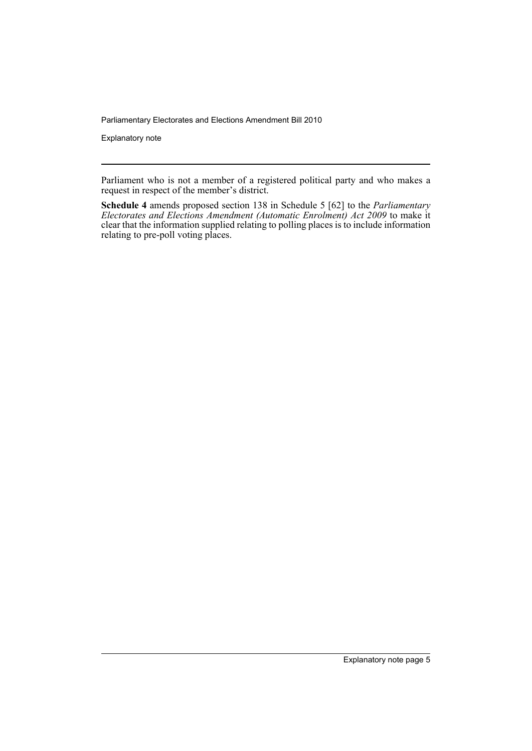Explanatory note

Parliament who is not a member of a registered political party and who makes a request in respect of the member's district.

**Schedule 4** amends proposed section 138 in Schedule 5 [62] to the *Parliamentary Electorates and Elections Amendment (Automatic Enrolment) Act 2009* to make it clear that the information supplied relating to polling places is to include information relating to pre-poll voting places.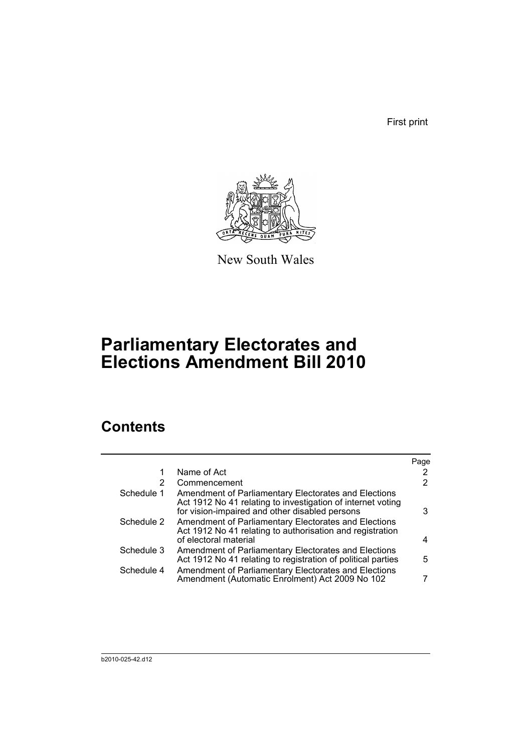First print



New South Wales

# **Parliamentary Electorates and Elections Amendment Bill 2010**

## **Contents**

|            |                                                                                                                                                                       | Page |
|------------|-----------------------------------------------------------------------------------------------------------------------------------------------------------------------|------|
|            | Name of Act                                                                                                                                                           | 2    |
| 2          | Commencement                                                                                                                                                          | 2    |
| Schedule 1 | Amendment of Parliamentary Electorates and Elections<br>Act 1912 No 41 relating to investigation of internet voting<br>for vision-impaired and other disabled persons | 3    |
| Schedule 2 | Amendment of Parliamentary Electorates and Elections<br>Act 1912 No 41 relating to authorisation and registration<br>of electoral material                            | 4    |
| Schedule 3 | Amendment of Parliamentary Electorates and Elections<br>Act 1912 No 41 relating to registration of political parties                                                  | 5.   |
| Schedule 4 | Amendment of Parliamentary Electorates and Elections<br>Amendment (Automatic Enrolment) Act 2009 No 102                                                               |      |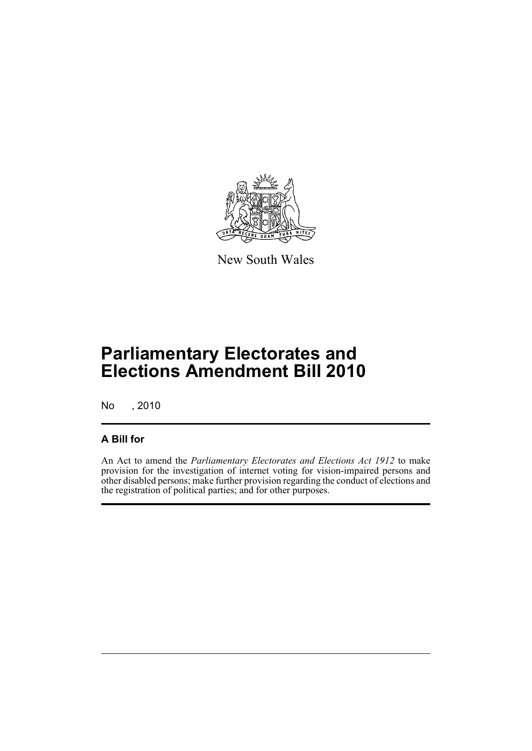

New South Wales

# **Parliamentary Electorates and Elections Amendment Bill 2010**

No , 2010

### **A Bill for**

An Act to amend the *Parliamentary Electorates and Elections Act 1912* to make provision for the investigation of internet voting for vision-impaired persons and other disabled persons; make further provision regarding the conduct of elections and the registration of political parties; and for other purposes.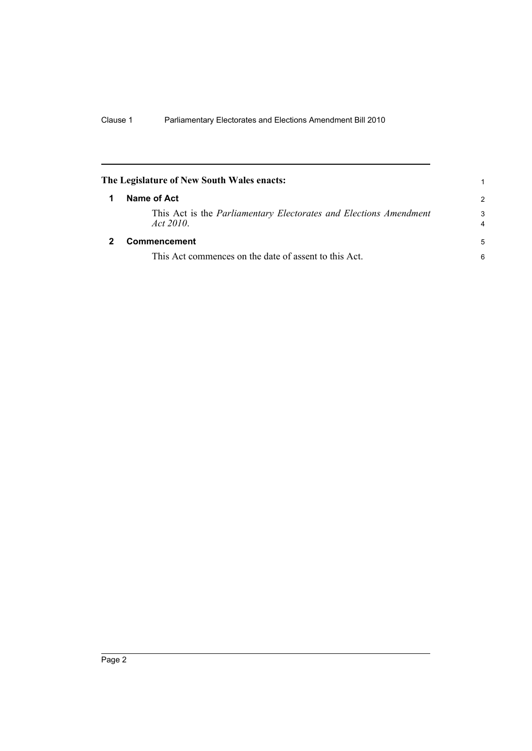<span id="page-9-1"></span><span id="page-9-0"></span>

| The Legislature of New South Wales enacts:                                             |                     |
|----------------------------------------------------------------------------------------|---------------------|
| Name of Act                                                                            | $\mathcal{P}$       |
| This Act is the <i>Parliamentary Electorates and Elections Amendment</i><br>Act $2010$ | 3<br>$\overline{4}$ |
| <b>Commencement</b>                                                                    | 5                   |
| This Act commences on the date of assent to this Act.                                  | 6                   |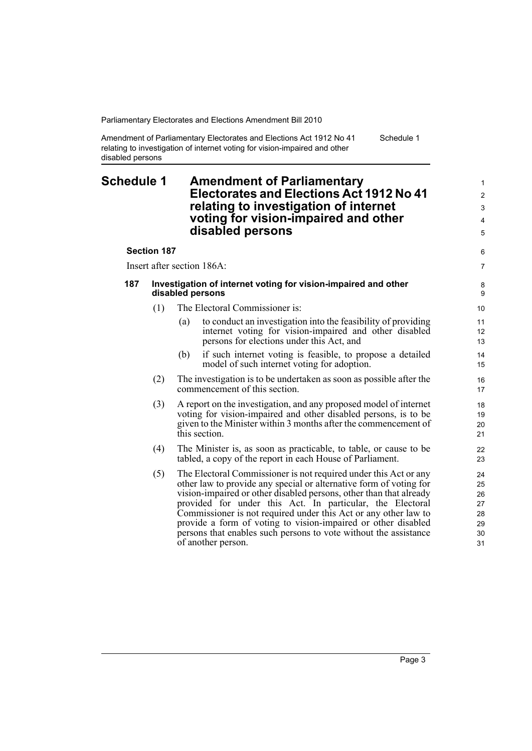Amendment of Parliamentary Electorates and Elections Act 1912 No 41 relating to investigation of internet voting for vision-impaired and other disabled persons

#### <span id="page-10-0"></span>**Schedule 1 Amendment of Parliamentary Electorates and Elections Act 1912 No 41 relating to investigation of internet voting for vision-impaired and other disabled persons**

**Section 187**

Insert after section 186A:

| 187 | Investigation of internet voting for vision-impaired and other |
|-----|----------------------------------------------------------------|
|     | disabled persons                                               |

- (1) The Electoral Commissioner is:
	- (a) to conduct an investigation into the feasibility of providing internet voting for vision-impaired and other disabled persons for elections under this Act, and
	- (b) if such internet voting is feasible, to propose a detailed model of such internet voting for adoption.
- (2) The investigation is to be undertaken as soon as possible after the commencement of this section.
- (3) A report on the investigation, and any proposed model of internet voting for vision-impaired and other disabled persons, is to be given to the Minister within 3 months after the commencement of this section.
- (4) The Minister is, as soon as practicable, to table, or cause to be tabled, a copy of the report in each House of Parliament.
- (5) The Electoral Commissioner is not required under this Act or any other law to provide any special or alternative form of voting for vision-impaired or other disabled persons, other than that already provided for under this Act. In particular, the Electoral Commissioner is not required under this Act or any other law to provide a form of voting to vision-impaired or other disabled persons that enables such persons to vote without the assistance of another person.

Schedule 1

6 7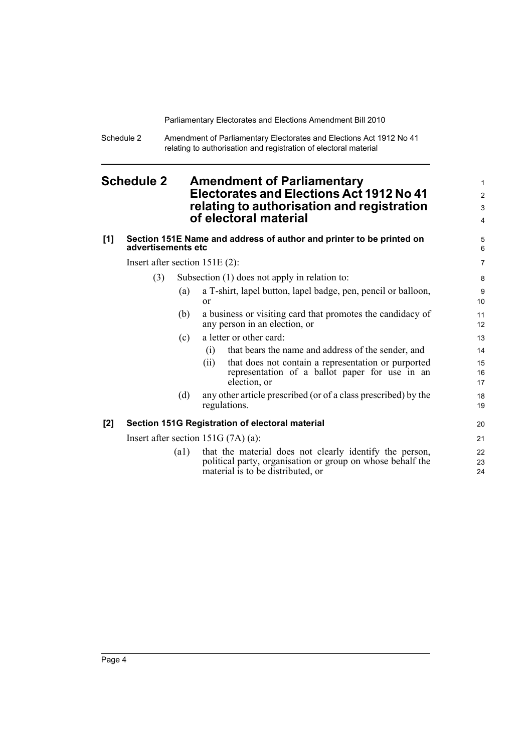Schedule 2 Amendment of Parliamentary Electorates and Elections Act 1912 No 41 relating to authorisation and registration of electoral material

### <span id="page-11-0"></span>**Schedule 2 Amendment of Parliamentary Electorates and Elections Act 1912 No 41 relating to authorisation and registration of electoral material**

#### **[1] Section 151E Name and address of author and printer to be printed on advertisements etc** Insert after section 151E (2):

(3) Subsection (1) does not apply in relation to:

(a) a T-shirt, lapel button, lapel badge, pen, pencil or balloon, or

- (b) a business or visiting card that promotes the candidacy of any person in an election, or
- (c) a letter or other card:
	- (i) that bears the name and address of the sender, and
	- (ii) that does not contain a representation or purported representation of a ballot paper for use in an election, or
- (d) any other article prescribed (or of a class prescribed) by the regulations.

#### **[2] Section 151G Registration of electoral material**

Insert after section 151G (7A) (a):

(a1) that the material does not clearly identify the person, political party, organisation or group on whose behalf the material is to be distributed, or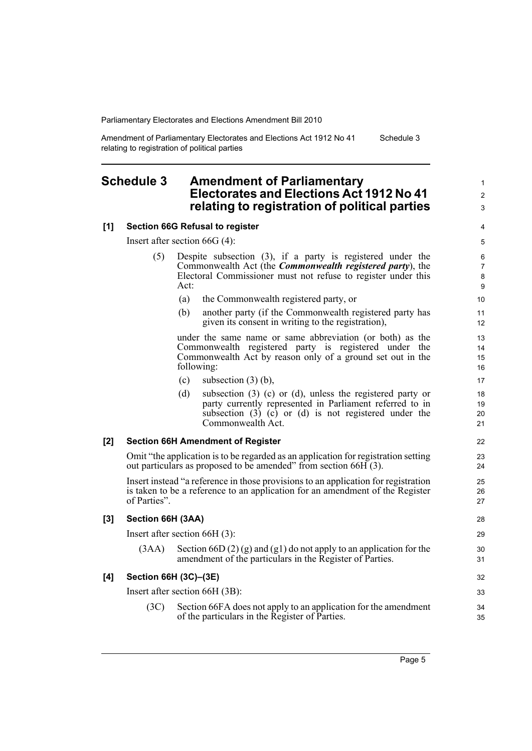Amendment of Parliamentary Electorates and Elections Act 1912 No 41 relating to registration of political parties Schedule 3

#### <span id="page-12-0"></span>**Schedule 3 Amendment of Parliamentary Electorates and Elections Act 1912 No 41 relating to registration of political parties**

#### **[1] Section 66G Refusal to register**

Insert after section 66G (4):

- (5) Despite subsection (3), if a party is registered under the Commonwealth Act (the *Commonwealth registered party*), the Electoral Commissioner must not refuse to register under this Act:
	- (a) the Commonwealth registered party, or
	- (b) another party (if the Commonwealth registered party has given its consent in writing to the registration),

under the same name or same abbreviation (or both) as the Commonwealth registered party is registered under the Commonwealth Act by reason only of a ground set out in the following:

- (c) subsection  $(3)$  (b),
- (d) subsection (3) (c) or (d), unless the registered party or party currently represented in Parliament referred to in subsection  $(3)$   $(c)$  or  $(d)$  is not registered under the Commonwealth Act.

#### **[2] Section 66H Amendment of Register**

Omit "the application is to be regarded as an application for registration setting out particulars as proposed to be amended" from section 66H (3).

Insert instead "a reference in those provisions to an application for registration is taken to be a reference to an application for an amendment of the Register of Parties".

#### **[3] Section 66H (3AA)**

Insert after section 66H (3):

 $(3AA)$  Section 66D  $(2)(g)$  and  $(g1)$  do not apply to an application for the amendment of the particulars in the Register of Parties.

#### **[4] Section 66H (3C)–(3E)**

Insert after section 66H (3B):

(3C) Section 66FA does not apply to an application for the amendment of the particulars in the Register of Parties.

1 2 3

17 18 19

> 20 21

22  $23$ 24

> 25 26 27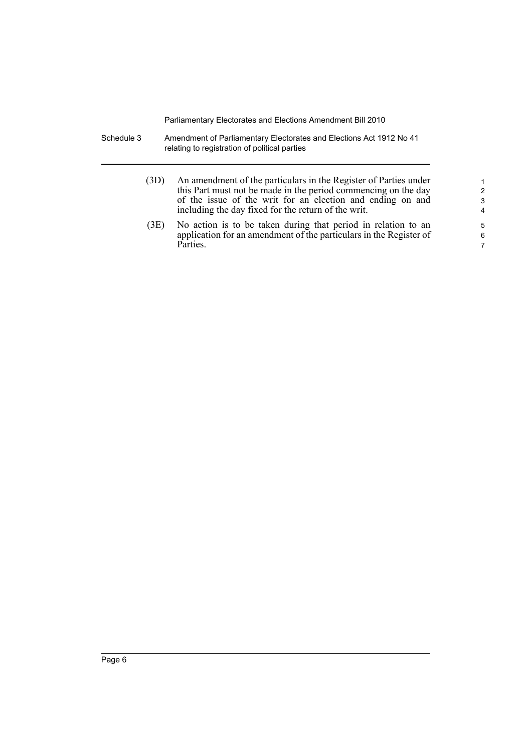- Schedule 3 Amendment of Parliamentary Electorates and Elections Act 1912 No 41 relating to registration of political parties
	- (3D) An amendment of the particulars in the Register of Parties under this Part must not be made in the period commencing on the day of the issue of the writ for an election and ending on and including the day fixed for the return of the writ.
	- (3E) No action is to be taken during that period in relation to an application for an amendment of the particulars in the Register of Parties.